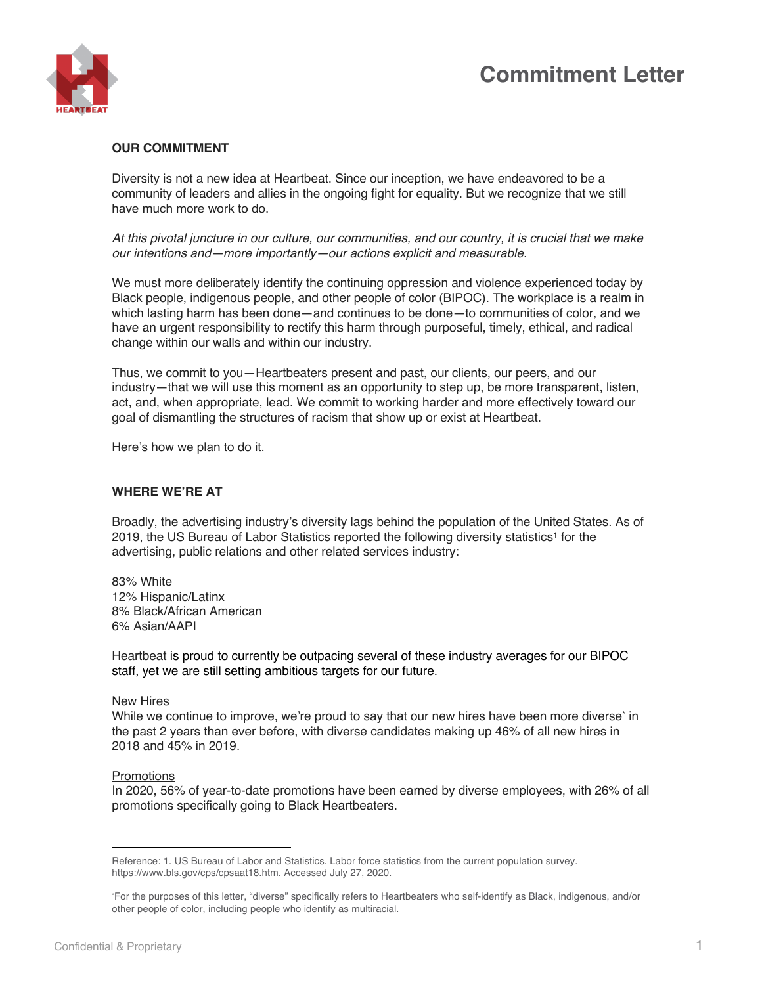# **Commitment Letter**



### **OUR COMMITMENT**

Diversity is not a new idea at Heartbeat. Since our inception, we have endeavored to be a community of leaders and allies in the ongoing fight for equality. But we recognize that we still have much more work to do.

*At this pivotal juncture in our culture, our communities, and our country, it is crucial that we make our intentions and—more importantly—our actions explicit and measurable.*

We must more deliberately identify the continuing oppression and violence experienced today by Black people, indigenous people, and other people of color (BIPOC). The workplace is a realm in which lasting harm has been done—and continues to be done—to communities of color, and we have an urgent responsibility to rectify this harm through purposeful, timely, ethical, and radical change within our walls and within our industry.

Thus, we commit to you—Heartbeaters present and past, our clients, our peers, and our industry—that we will use this moment as an opportunity to step up, be more transparent, listen, act, and, when appropriate, lead. We commit to working harder and more effectively toward our goal of dismantling the structures of racism that show up or exist at Heartbeat.

Here's how we plan to do it.

## **WHERE WE'RE AT**

Broadly, the advertising industry's diversity lags behind the population of the United States. As of 2019, the US Bureau of Labor Statistics reported the following diversity statistics<sup>1</sup> for the advertising, public relations and other related services industry:

83% White 12% Hispanic/Latinx 8% Black/African American 6% Asian/AAPI

Heartbeat is proud to currently be outpacing several of these industry averages for our BIPOC staff, yet we are still setting ambitious targets for our future.

#### New Hires

While we continue to improve, we're proud to say that our new hires have been more diverset in the past 2 years than ever before, with diverse candidates making up 46% of all new hires in 2018 and 45% in 2019.

#### **Promotions**

In 2020, 56% of year-to-date promotions have been earned by diverse employees, with 26% of all promotions specifically going to Black Heartbeaters.

Reference: 1. US Bureau of Labor and Statistics. Labor force statistics from the current population survey. https://www.bls.gov/cps/cpsaat18.htm. Accessed July 27, 2020.

<sup>\*</sup>For the purposes of this letter, "diverse" specifically refers to Heartbeaters who self-identify as Black, indigenous, and/or other people of color, including people who identify as multiracial.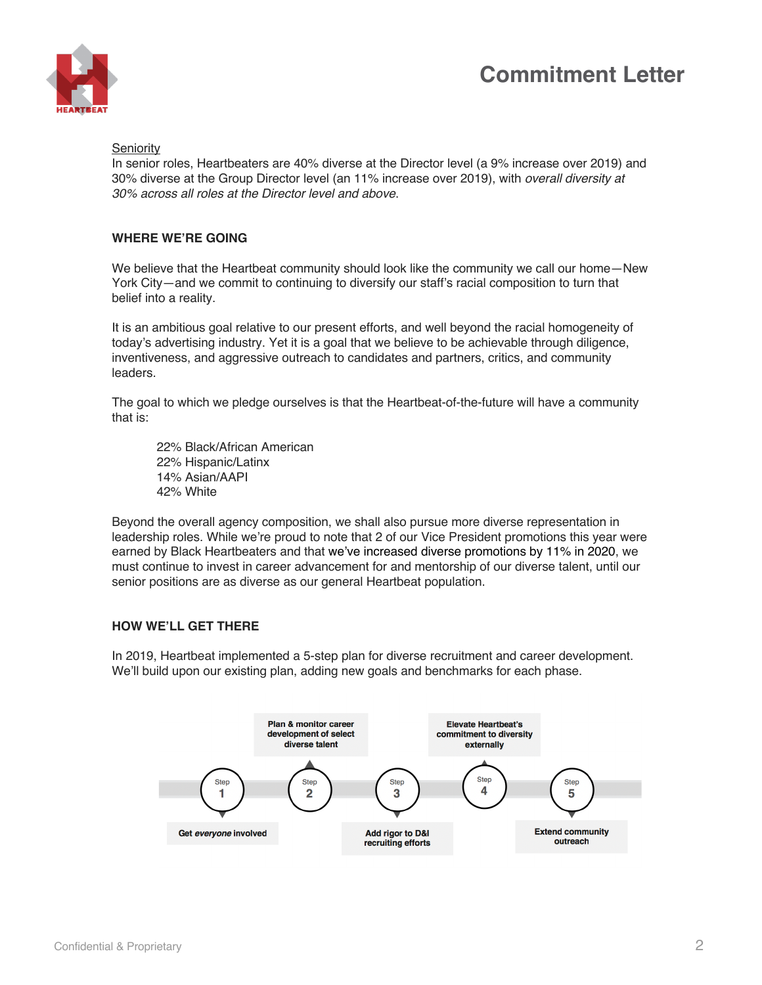# **Commitment Letter**



#### **Seniority**

In senior roles, Heartbeaters are 40% diverse at the Director level (a 9% increase over 2019) and 30% diverse at the Group Director level (an 11% increase over 2019), with *overall diversity at 30% across all roles at the Director level and above*.

## **WHERE WE'RE GOING**

We believe that the Heartbeat community should look like the community we call our home—New York City—and we commit to continuing to diversify our staff's racial composition to turn that belief into a reality.

It is an ambitious goal relative to our present efforts, and well beyond the racial homogeneity of today's advertising industry. Yet it is a goal that we believe to be achievable through diligence, inventiveness, and aggressive outreach to candidates and partners, critics, and community leaders.

The goal to which we pledge ourselves is that the Heartbeat-of-the-future will have a community that is:

22% Black/African American 22% Hispanic/Latinx 14% Asian/AAPI 42% White

Beyond the overall agency composition, we shall also pursue more diverse representation in leadership roles. While we're proud to note that 2 of our Vice President promotions this year were earned by Black Heartbeaters and that we've increased diverse promotions by 11% in 2020, we must continue to invest in career advancement for and mentorship of our diverse talent, until our senior positions are as diverse as our general Heartbeat population.

### **HOW WE'LL GET THERE**

In 2019, Heartbeat implemented a 5-step plan for diverse recruitment and career development. We'll build upon our existing plan, adding new goals and benchmarks for each phase.